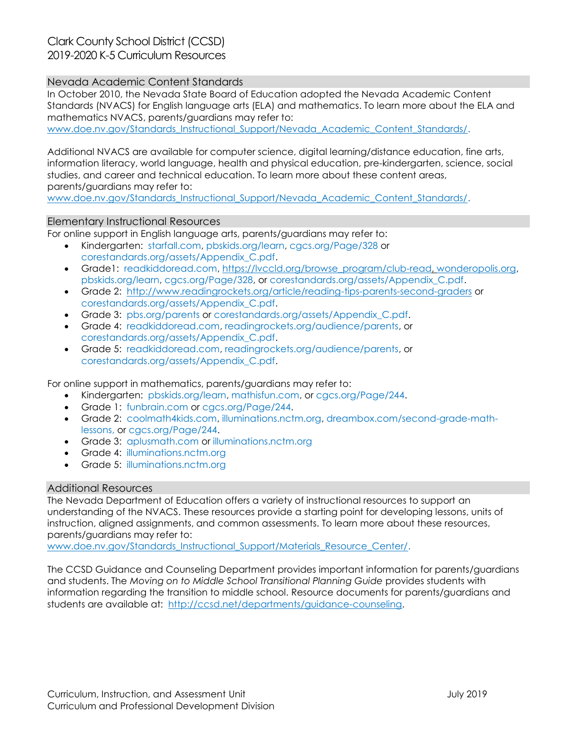## Nevada Academic Content Standards

In October 2010, the Nevada State Board of Education adopted the Nevada Academic Content Standards (NVACS) for English language arts (ELA) and mathematics. To learn more about the ELA and mathematics NVACS, parents/guardians may refer to:

[www.doe.nv.gov/Standards\\_Instructional\\_Support/Nevada\\_Academic\\_Content\\_Standards/.](http://www.doe.nv.gov/Standards_Instructional_Support/Nevada_Academic_Content_Standards/)

Additional NVACS are available for computer science, digital learning/distance education, fine arts, information literacy, world language, health and physical education, pre-kindergarten, science, social studies, and career and technical education. To learn more about these content areas, parents/guardians may refer to:

[www.doe.nv.gov/Standards\\_Instructional\\_Support/Nevada\\_Academic\\_Content\\_Standards/.](http://www.doe.nv.gov/Standards_Instructional_Support/Nevada_Academic_Content_Standards/)

## Elementary Instructional Resources

For online support in English language arts, parents/guardians may refer to:

- Kindergarten: starfall.com, pbskids.org/learn, cgcs.org/Page/328 or corestandards.org/assets/Appendix\_C.pdf.
- Grade1: readkiddoread.com, [https://lvccld.org/browse\\_program/club-read,](https://lvccld.org/browse_program/club-read) wonderopolis.org, pbskids.org/learn, cgcs.org/Page/328, or corestandards.org/assets/Appendix\_C.pdf.
- Grade 2: <http://www.readingrockets.org/article/reading-tips-parents-second-graders> or corestandards.org/assets/Appendix\_C.pdf.
- Grade 3: pbs.org/parents or corestandards.org/assets/Appendix C.pdf.
- Grade 4: readkiddoread.com, readingrockets.org/audience/parents, or corestandards.org/assets/Appendix\_C.pdf.
- Grade 5: readkiddoread.com, readingrockets.org/audience/parents, or corestandards.org/assets/Appendix\_C.pdf.

For online support in mathematics, parents/guardians may refer to:

- Kindergarten: pbskids.org/learn, mathisfun.com, or cgcs.org/Page/244.
- Grade 1: funbrain.com or cgcs.org/Page/244.
- Grade 2: coolmath4kids.com, illuminations.nctm.org, dreambox.com/second-grade-mathlessons, or cgcs.org/Page/244.
- Grade 3: aplusmath.com or illuminations.nctm.org
- Grade 4: illuminations.nctm.org
- Grade 5: illuminations.nctm.org

## Additional Resources

The Nevada Department of Education offers a variety of instructional resources to support an understanding of the NVACS. These resources provide a starting point for developing lessons, units of instruction, aligned assignments, and common assessments. To learn more about these resources, parents/guardians may refer to:

[www.doe.nv.gov/Standards\\_Instructional\\_Support/Materials\\_Resource\\_Center/.](http://www.doe.nv.gov/Standards_Instructional_Support/Materials_Resource_Center/)

The CCSD Guidance and Counseling Department provides important information for parents/guardians and students. The *Moving on to Middle School Transitional Planning Guide* provides students with information regarding the transition to middle school. Resource documents for parents/guardians and students are available at: [http://ccsd.net/departments/guidance-counseling.](http://ccsd.net/departments/guidance-counseling)